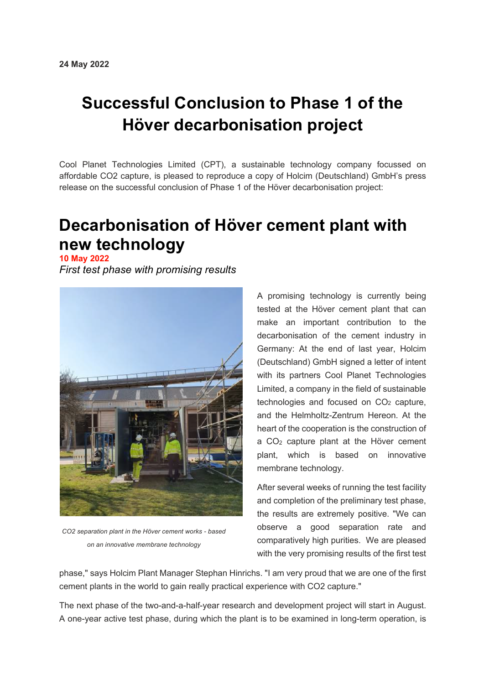## **Successful Conclusion to Phase 1 of the Höver decarbonisation project**

Cool Planet Technologies Limited (CPT), a sustainable technology company focussed on affordable CO2 capture, is pleased to reproduce a copy of Holcim (Deutschland) GmbH's press release on the successful conclusion of Phase 1 of the Höver decarbonisation project:

## **Decarbonisation of Höver cement plant with new technology**

**10 May 2022**

*First test phase with promising results*



*CO2 separation plant in the Höver cement works - based on an innovative membrane technology*

A promising technology is currently being tested at the Höver cement plant that can make an important contribution to the decarbonisation of the cement industry in Germany: At the end of last year, Holcim (Deutschland) GmbH signed a letter of intent with its partners Cool Planet Technologies Limited, a company in the field of sustainable technologies and focused on CO<sub>2</sub> capture, and the Helmholtz-Zentrum Hereon. At the heart of the cooperation is the construction of a CO2 capture plant at the Höver cement plant, which is based on innovative membrane technology.

After several weeks of running the test facility and completion of the preliminary test phase, the results are extremely positive. "We can observe a good separation rate and comparatively high purities. We are pleased with the very promising results of the first test

phase," says Holcim Plant Manager Stephan Hinrichs. "I am very proud that we are one of the first cement plants in the world to gain really practical experience with CO2 capture."

The next phase of the two-and-a-half-year research and development project will start in August. A one-year active test phase, during which the plant is to be examined in long-term operation, is